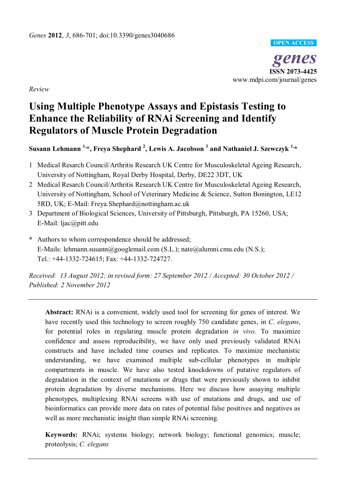

**genesis**<br> **genes**<br>
www.mdpi.com/journal/genes **ISSN 2073-4425** 

*Review* 

# **Using Multiple Phenotype Assays and Epistasis Testing to Enhance the Reliability of RNAi Screening and Identify Regulators of Muscle Protein Degradation**

# Susann Lehmann <sup>1,</sup>\*, Freya Shephard <sup>2</sup>, Lewis A. Jacobson <sup>3</sup> and Nathaniel J. Szewczyk <sup>1,</sup>\*

- 1 Medical Resarch Council/Arthritis Research UK Centre for Musculoskeletal Ageing Research, University of Nottingham, Royal Derby Hospital, Derby, DE22 3DT, UK
- 2 Medical Resarch Council/Arthritis Research UK Centre for Musculoskeletal Ageing Research, University of Nottingham, School of Veterinary Medicine & Science, Sutton Bonington, LE12 5RD, UK; E-Mail: Freya.Shephard@nottingham.ac.uk
- 3 Department of Biological Sciences, University of Pittsburgh, Pittsburgh, PA 15260, USA; E-Mail: ljac@pitt.edu
- **\*** Authors to whom correspondence should be addressed; E-Mails: lehmann.susann@googlemail.com (S.L.); nate@alumni.cmu.edu (N.S.); Tel.: +44-1332-724615; Fax: +44-1332-724727.

*Received: 13 August 2012; in revised form: 27 September 2012 / Accepted: 30 October 2012 / Published: 2 November 2012* 

**Abstract:** RNAi is a convenient, widely used tool for screening for genes of interest. We have recently used this technology to screen roughly 750 candidate genes, in *C. elegans*, for potential roles in regulating muscle protein degradation *in vivo*. To maximize confidence and assess reproducibility, we have only used previously validated RNAi constructs and have included time courses and replicates. To maximize mechanistic understanding, we have examined multiple sub-cellular phenotypes in multiple compartments in muscle. We have also tested knockdowns of putative regulators of degradation in the context of mutations or drugs that were previously shown to inhibit protein degradation by diverse mechanisms. Here we discuss how assaying multiple phenotypes, multiplexing RNAi screens with use of mutations and drugs, and use of bioinformatics can provide more data on rates of potential false positives and negatives as well as more mechanistic insight than simple RNAi screening.

**Keywords:** RNAi; systems biology; network biology; functional genomics; muscle; proteolysis; *C. elegans*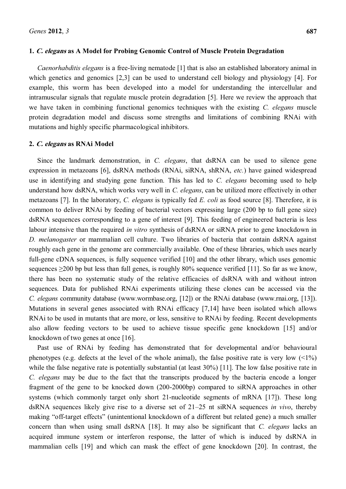## **1. C. elegans as A Model for Probing Genomic Control of Muscle Protein Degradation**

*Caenorhabditis elegans* is a free-living nematode [1] that is also an established laboratory animal in which genetics and genomics [2,3] can be used to understand cell biology and physiology [4]. For example, this worm has been developed into a model for understanding the intercellular and intramuscular signals that regulate muscle protein degradation [5]. Here we review the approach that we have taken in combining functional genomics techniques with the existing *C. elegans* muscle protein degradation model and discuss some strengths and limitations of combining RNAi with mutations and highly specific pharmacological inhibitors.

# **2. C. elegans as RNAi Model**

Since the landmark demonstration, in *C. elegans*, that dsRNA can be used to silence gene expression in metazoans [6], dsRNA methods (RNAi, siRNA, shRNA, *etc.*) have gained widespread use in identifying and studying gene function. This has led to *C. elegans* becoming used to help understand how dsRNA, which works very well in *C. elegans*, can be utilized more effectively in other metazoans [7]. In the laboratory, *C. elegans* is typically fed *E. coli* as food source [8]. Therefore, it is common to deliver RNAi by feeding of bacterial vectors expressing large (200 bp to full gene size) dsRNA sequences corresponding to a gene of interest [9]. This feeding of engineered bacteria is less labour intensive than the required *in vitro* synthesis of dsRNA or siRNA prior to gene knockdown in *D. melanogaster* or mammalian cell culture. Two libraries of bacteria that contain dsRNA against roughly each gene in the genome are commercially available. One of these libraries, which uses nearly full-gene cDNA sequences, is fully sequence verified [10] and the other library, which uses genomic sequences  $\geq$ 200 bp but less than full genes, is roughly 80% sequence verified [11]. So far as we know, there has been no systematic study of the relative efficacies of dsRNA with and without intron sequences. Data for published RNAi experiments utilizing these clones can be accessed via the *C. elegans* community database (www.wormbase.org, [12]) or the RNAi database (www.rnai.org, [13]). Mutations in several genes associated with RNAi efficacy [7,14] have been isolated which allows RNAi to be used in mutants that are more, or less, sensitive to RNAi by feeding. Recent developments also allow feeding vectors to be used to achieve tissue specific gene knockdown [15] and/or knockdown of two genes at once [16].

Past use of RNAi by feeding has demonstrated that for developmental and/or behavioural phenotypes (e.g. defects at the level of the whole animal), the false positive rate is very low  $($ while the false negative rate is potentially substantial (at least 30%) [11]. The low false positive rate in *C. elegans* may be due to the fact that the transcripts produced by the bacteria encode a longer fragment of the gene to be knocked down (200-2000bp) compared to siRNA approaches in other systems (which commonly target only short 21-nucleotide segments of mRNA [17]). These long dsRNA sequences likely give rise to a diverse set of 21–25 nt siRNA sequences *in vivo*, thereby making "off-target effects" (unintentional knockdown of a different but related gene) a much smaller concern than when using small dsRNA [18]. It may also be significant that *C. elegans* lacks an acquired immune system or interferon response, the latter of which is induced by dsRNA in mammalian cells [19] and which can mask the effect of gene knockdown [20]. In contrast, the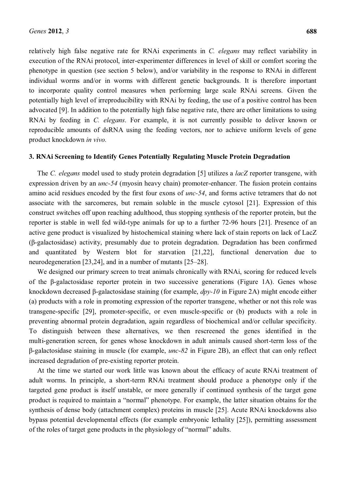relatively high false negative rate for RNAi experiments in *C. elegans* may reflect variability in execution of the RNAi protocol, inter-experimenter differences in level of skill or comfort scoring the phenotype in question (see section 5 below), and/or variability in the response to RNAi in different individual worms and/or in worms with different genetic backgrounds. It is therefore important to incorporate quality control measures when performing large scale RNAi screens. Given the potentially high level of irreproducibility with RNAi by feeding, the use of a positive control has been advocated [9]. In addition to the potentially high false negative rate, there are other limitations to using RNAi by feeding in *C. elegans*. For example, it is not currently possible to deliver known or reproducible amounts of dsRNA using the feeding vectors, nor to achieve uniform levels of gene product knockdown *in vivo.*

## **3. RNAi Screening to Identify Genes Potentially Regulating Muscle Protein Degradation**

The *C. elegans* model used to study protein degradation [5] utilizes a *lacZ* reporter transgene, with expression driven by an *unc-54* (myosin heavy chain) promoter-enhancer. The fusion protein contains amino acid residues encoded by the first four exons of *unc-54*, and forms active tetramers that do not associate with the sarcomeres, but remain soluble in the muscle cytosol [21]. Expression of this construct switches off upon reaching adulthood, thus stopping synthesis of the reporter protein, but the reporter is stable in well fed wild-type animals for up to a further 72-96 hours [21]. Presence of an active gene product is visualized by histochemical staining where lack of stain reports on lack of LacZ  $(\beta$ -galactosidase) activity, presumably due to protein degradation. Degradation has been confirmed and quantitated by Western blot for starvation [21,22], functional denervation due to neurodegeneration  $[23,24]$ , and in a number of mutants  $[25-28]$ .

We designed our primary screen to treat animals chronically with RNAi, scoring for reduced levels of the  $\beta$ -galactosidase reporter protein in two successive generations (Figure 1A). Genes whose knockdown decreased β-galactosidase staining (for example, *dpy-10* in Figure 2A) might encode either (a) products with a role in promoting expression of the reporter transgene, whether or not this role was transgene-specific [29], promoter-specific, or even muscle-specific or (b) products with a role in preventing abnormal protein degradation, again regardless of biochemical and/or cellular specificity. To distinguish between these alternatives, we then rescreened the genes identified in the multi-generation screen, for genes whose knockdown in adult animals caused short-term loss of the ȕ-galactosidase staining in muscle (for example, *unc-82* in Figure 2B), an effect that can only reflect increased degradation of pre-existing reporter protein.

At the time we started our work little was known about the efficacy of acute RNAi treatment of adult worms. In principle, a short-term RNAi treatment should produce a phenotype only if the targeted gene product is itself unstable, or more generally if continued synthesis of the target gene product is required to maintain a "normal" phenotype. For example, the latter situation obtains for the synthesis of dense body (attachment complex) proteins in muscle [25]. Acute RNAi knockdowns also bypass potential developmental effects (for example embryonic lethality [25]), permitting assessment of the roles of target gene products in the physiology of "normal" adults.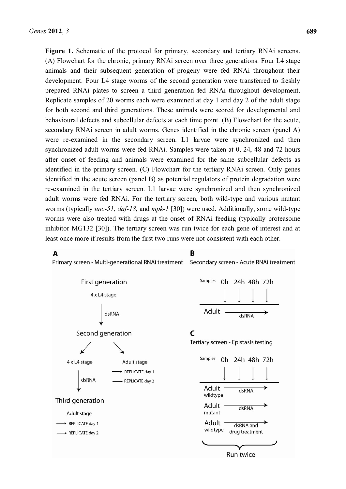Figure 1. Schematic of the protocol for primary, secondary and tertiary RNAi screens. (A) Flowchart for the chronic, primary RNAi screen over three generations. Four L4 stage animals and their subsequent generation of progeny were fed RNAi throughout their development. Four L4 stage worms of the second generation were transferred to freshly prepared RNAi plates to screen a third generation fed RNAi throughout development. Replicate samples of 20 worms each were examined at day 1 and day 2 of the adult stage for both second and third generations. These animals were scored for developmental and behavioural defects and subcellular defects at each time point. (B) Flowchart for the acute, secondary RNAi screen in adult worms. Genes identified in the chronic screen (panel A) were re-examined in the secondary screen. L1 larvae were synchronized and then synchronized adult worms were fed RNAi. Samples were taken at 0, 24, 48 and 72 hours after onset of feeding and animals were examined for the same subcellular defects as identified in the primary screen. (C) Flowchart for the tertiary RNAi screen. Only genes identified in the acute screen (panel B) as potential regulators of protein degradation were re-examined in the tertiary screen. L1 larvae were synchronized and then synchronized adult worms were fed RNAi. For the tertiary screen, both wild-type and various mutant worms (typically *unc-51*, *daf-18*, and *mpk-1* [30]) were used. Additionally, some wild-type worms were also treated with drugs at the onset of RNAi feeding (typically proteasome inhibitor MG132 [30]). The tertiary screen was run twice for each gene of interest and at least once more if results from the first two runs were not consistent with each other.

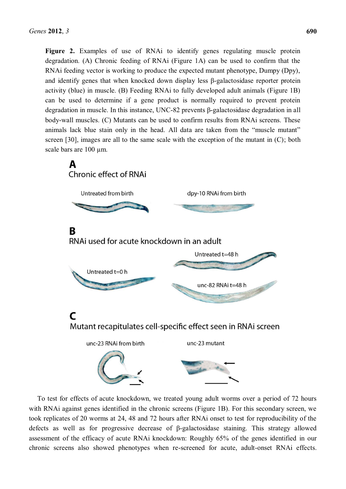**Figure 2.** Examples of use of RNAi to identify genes regulating muscle protein degradation. (A) Chronic feeding of RNAi (Figure 1A) can be used to confirm that the RNAi feeding vector is working to produce the expected mutant phenotype, Dumpy (Dpy), and identify genes that when knocked down display less  $\beta$ -galactosidase reporter protein activity (blue) in muscle. (B) Feeding RNAi to fully developed adult animals (Figure 1B) can be used to determine if a gene product is normally required to prevent protein degradation in muscle. In this instance, UNC-82 prevents  $\beta$ -galactosidase degradation in all body-wall muscles. (C) Mutants can be used to confirm results from RNAi screens. These animals lack blue stain only in the head. All data are taken from the "muscle mutant" screen [30], images are all to the same scale with the exception of the mutant in (C); both scale bars are 100  $\mu$ m.



To test for effects of acute knockdown, we treated young adult worms over a period of 72 hours with RNAi against genes identified in the chronic screens (Figure 1B). For this secondary screen, we took replicates of 20 worms at 24, 48 and 72 hours after RNAi onset to test for reproducibility of the defects as well as for progressive decrease of  $\beta$ -galactosidase staining. This strategy allowed assessment of the efficacy of acute RNAi knockdown: Roughly 65% of the genes identified in our chronic screens also showed phenotypes when re-screened for acute, adult-onset RNAi effects.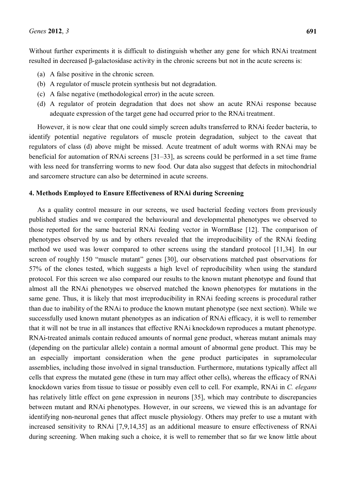Without further experiments it is difficult to distinguish whether any gene for which RNAi treatment resulted in decreased  $\beta$ -galactosidase activity in the chronic screens but not in the acute screens is:

- (a) A false positive in the chronic screen.
- (b) A regulator of muscle protein synthesis but not degradation.
- (c) A false negative (methodological error) in the acute screen.
- (d) A regulator of protein degradation that does not show an acute RNAi response because adequate expression of the target gene had occurred prior to the RNAi treatment.

However, it is now clear that one could simply screen adults transferred to RNAi feeder bacteria, to identify potential negative regulators of muscle protein degradation, subject to the caveat that regulators of class (d) above might be missed. Acute treatment of adult worms with RNAi may be beneficial for automation of RNAi screens  $[31-33]$ , as screens could be performed in a set time frame with less need for transferring worms to new food. Our data also suggest that defects in mitochondrial and sarcomere structure can also be determined in acute screens.

### **4. Methods Employed to Ensure Effectiveness of RNAi during Screening**

As a quality control measure in our screens, we used bacterial feeding vectors from previously published studies and we compared the behavioural and developmental phenotypes we observed to those reported for the same bacterial RNAi feeding vector in WormBase [12]. The comparison of phenotypes observed by us and by others revealed that the irreproducibility of the RNAi feeding method we used was lower compared to other screens using the standard protocol [11,34]. In our screen of roughly 150 "muscle mutant" genes [30], our observations matched past observations for 57% of the clones tested, which suggests a high level of reproducibility when using the standard protocol. For this screen we also compared our results to the known mutant phenotype and found that almost all the RNAi phenotypes we observed matched the known phenotypes for mutations in the same gene. Thus, it is likely that most irreproducibility in RNAi feeding screens is procedural rather than due to inability of the RNAi to produce the known mutant phenotype (see next section). While we successfully used known mutant phenotypes as an indication of RNAi efficacy, it is well to remember that it will not be true in all instances that effective RNAi knockdown reproduces a mutant phenotype. RNAi-treated animals contain reduced amounts of normal gene product, whereas mutant animals may (depending on the particular allele) contain a normal amount of abnormal gene product. This may be an especially important consideration when the gene product participates in supramolecular assemblies, including those involved in signal transduction. Furthermore, mutations typically affect all cells that express the mutated gene (these in turn may affect other cells), whereas the efficacy of RNAi knockdown varies from tissue to tissue or possibly even cell to cell. For example, RNAi in *C. elegans* has relatively little effect on gene expression in neurons [35], which may contribute to discrepancies between mutant and RNAi phenotypes. However, in our screens, we viewed this is an advantage for identifying non-neuronal genes that affect muscle physiology. Others may prefer to use a mutant with increased sensitivity to RNAi [7,9,14,35] as an additional measure to ensure effectiveness of RNAi during screening. When making such a choice, it is well to remember that so far we know little about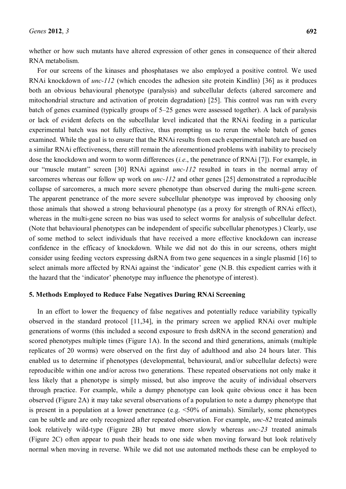whether or how such mutants have altered expression of other genes in consequence of their altered RNA metabolism.

For our screens of the kinases and phosphatases we also employed a positive control. We used RNAi knockdown of *unc-112* (which encodes the adhesion site protein Kindlin) [36] as it produces both an obvious behavioural phenotype (paralysis) and subcellular defects (altered sarcomere and mitochondrial structure and activation of protein degradation) [25]. This control was run with every batch of genes examined (typically groups of 5–25 genes were assessed together). A lack of paralysis or lack of evident defects on the subcellular level indicated that the RNAi feeding in a particular experimental batch was not fully effective, thus prompting us to rerun the whole batch of genes examined. While the goal is to ensure that the RNAi results from each experimental batch are based on a similar RNAi effectiveness, there still remain the aforementioned problems with inability to precisely dose the knockdown and worm to worm differences (*i.e*., the penetrance of RNAi [7]). For example, in our "muscle mutant" screen [30] RNAi against *unc-112* resulted in tears in the normal array of sarcomeres whereas our follow up work on *unc-112* and other genes [25] demonstrated a reproducible collapse of sarcomeres, a much more severe phenotype than observed during the multi-gene screen. The apparent penetrance of the more severe subcellular phenotype was improved by choosing only those animals that showed a strong behavioural phenotype (as a proxy for strength of RNAi effect), whereas in the multi-gene screen no bias was used to select worms for analysis of subcellular defect. (Note that behavioural phenotypes can be independent of specific subcellular phenotypes.) Clearly, use of some method to select individuals that have received a more effective knockdown can increase confidence in the efficacy of knockdown. While we did not do this in our screens, others might consider using feeding vectors expressing dsRNA from two gene sequences in a single plasmid [16] to select animals more affected by RNAi against the 'indicator' gene (N.B. this expedient carries with it the hazard that the 'indicator' phenotype may influence the phenotype of interest).

### **5. Methods Employed to Reduce False Negatives During RNAi Screening**

In an effort to lower the frequency of false negatives and potentially reduce variability typically observed in the standard protocol [11,34], in the primary screen we applied RNAi over multiple generations of worms (this included a second exposure to fresh dsRNA in the second generation) and scored phenotypes multiple times (Figure 1A). In the second and third generations, animals (multiple replicates of 20 worms) were observed on the first day of adulthood and also 24 hours later. This enabled us to determine if phenotypes (developmental, behavioural, and/or subcellular defects) were reproducible within one and/or across two generations. These repeated observations not only make it less likely that a phenotype is simply missed, but also improve the acuity of individual observers through practice. For example, while a dumpy phenotype can look quite obvious once it has been observed (Figure 2A) it may take several observations of a population to note a dumpy phenotype that is present in a population at a lower penetrance (e.g.  $\leq 50\%$  of animals). Similarly, some phenotypes can be subtle and are only recognized after repeated observation. For example, *unc-82* treated animals look relatively wild-type (Figure 2B) but move more slowly whereas *unc-23* treated animals (Figure 2C) often appear to push their heads to one side when moving forward but look relatively normal when moving in reverse. While we did not use automated methods these can be employed to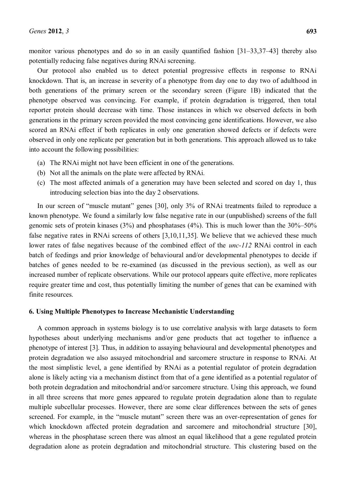monitor various phenotypes and do so in an easily quantified fashion  $[31-33,37-43]$  thereby also potentially reducing false negatives during RNAi screening.

Our protocol also enabled us to detect potential progressive effects in response to RNAi knockdown. That is, an increase in severity of a phenotype from day one to day two of adulthood in both generations of the primary screen or the secondary screen (Figure 1B) indicated that the phenotype observed was convincing. For example, if protein degradation is triggered, then total reporter protein should decrease with time. Those instances in which we observed defects in both generations in the primary screen provided the most convincing gene identifications. However, we also scored an RNAi effect if both replicates in only one generation showed defects or if defects were observed in only one replicate per generation but in both generations. This approach allowed us to take into account the following possibilities:

- (a) The RNAi might not have been efficient in one of the generations.
- (b) Not all the animals on the plate were affected by RNAi.
- (c) The most affected animals of a generation may have been selected and scored on day 1, thus introducing selection bias into the day 2 observations.

In our screen of "muscle mutant" genes [30], only 3% of RNAi treatments failed to reproduce a known phenotype. We found a similarly low false negative rate in our (unpublished) screens of the full genomic sets of protein kinases (3%) and phosphatases (4%). This is much lower than the  $30\%-50\%$ false negative rates in RNAi screens of others [3,10,11,35]. We believe that we achieved these much lower rates of false negatives because of the combined effect of the *unc-112* RNAi control in each batch of feedings and prior knowledge of behavioural and/or developmental phenotypes to decide if batches of genes needed to be re-examined (as discussed in the previous section), as well as our increased number of replicate observations. While our protocol appears quite effective, more replicates require greater time and cost, thus potentially limiting the number of genes that can be examined with finite resources.

# **6. Using Multiple Phenotypes to Increase Mechanistic Understanding**

A common approach in systems biology is to use correlative analysis with large datasets to form hypotheses about underlying mechanisms and/or gene products that act together to influence a phenotype of interest [3]. Thus, in addition to assaying behavioural and developmental phenotypes and protein degradation we also assayed mitochondrial and sarcomere structure in response to RNAi. At the most simplistic level, a gene identified by RNAi as a potential regulator of protein degradation alone is likely acting via a mechanism distinct from that of a gene identified as a potential regulator of both protein degradation and mitochondrial and/or sarcomere structure. Using this approach, we found in all three screens that more genes appeared to regulate protein degradation alone than to regulate multiple subcellular processes. However, there are some clear differences between the sets of genes screened. For example, in the "muscle mutant" screen there was an over-representation of genes for which knockdown affected protein degradation and sarcomere and mitochondrial structure [30], whereas in the phosphatase screen there was almost an equal likelihood that a gene regulated protein degradation alone as protein degradation and mitochondrial structure. This clustering based on the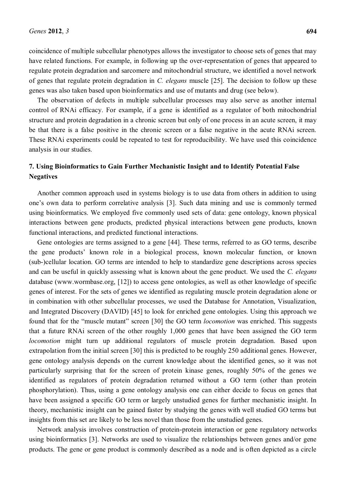coincidence of multiple subcellular phenotypes allows the investigator to choose sets of genes that may have related functions. For example, in following up the over-representation of genes that appeared to regulate protein degradation and sarcomere and mitochondrial structure, we identified a novel network of genes that regulate protein degradation in *C. elegans* muscle [25]. The decision to follow up these genes was also taken based upon bioinformatics and use of mutants and drug (see below).

The observation of defects in multiple subcellular processes may also serve as another internal control of RNAi efficacy. For example, if a gene is identified as a regulator of both mitochondrial structure and protein degradation in a chronic screen but only of one process in an acute screen, it may be that there is a false positive in the chronic screen or a false negative in the acute RNAi screen. These RNAi experiments could be repeated to test for reproducibility. We have used this coincidence analysis in our studies.

# **7. Using Bioinformatics to Gain Further Mechanistic Insight and to Identify Potential False Negatives**

Another common approach used in systems biology is to use data from others in addition to using one's own data to perform correlative analysis [3]. Such data mining and use is commonly termed using bioinformatics. We employed five commonly used sets of data: gene ontology, known physical interactions between gene products, predicted physical interactions between gene products, known functional interactions, and predicted functional interactions.

Gene ontologies are terms assigned to a gene [44]. These terms, referred to as GO terms, describe the gene products' known role in a biological process, known molecular function, or known (sub-)cellular location. GO terms are intended to help to standardize gene descriptions across species and can be useful in quickly assessing what is known about the gene product. We used the *C. elegans* database (www.wormbase.org, [12]) to access gene ontologies, as well as other knowledge of specific genes of interest. For the sets of genes we identified as regulating muscle protein degradation alone or in combination with other subcellular processes, we used the Database for Annotation, Visualization, and Integrated Discovery (DAVID) [45] to look for enriched gene ontologies. Using this approach we found that for the "muscle mutant" screen [30] the GO term *locomotion* was enriched. This suggests that a future RNAi screen of the other roughly 1,000 genes that have been assigned the GO term *locomotion* might turn up additional regulators of muscle protein degradation. Based upon extrapolation from the initial screen [30] this is predicted to be roughly 250 additional genes. However, gene ontology analysis depends on the current knowledge about the identified genes, so it was not particularly surprising that for the screen of protein kinase genes, roughly 50% of the genes we identified as regulators of protein degradation returned without a GO term (other than protein phosphorylation). Thus, using a gene ontology analysis one can either decide to focus on genes that have been assigned a specific GO term or largely unstudied genes for further mechanistic insight. In theory, mechanistic insight can be gained faster by studying the genes with well studied GO terms but insights from this set are likely to be less novel than those from the unstudied genes.

Network analysis involves construction of protein-protein interaction or gene regulatory networks using bioinformatics [3]. Networks are used to visualize the relationships between genes and/or gene products. The gene or gene product is commonly described as a node and is often depicted as a circle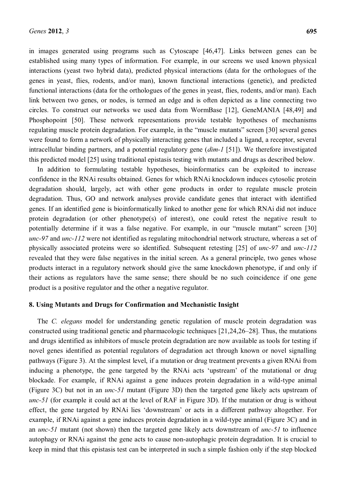in images generated using programs such as Cytoscape [46,47]. Links between genes can be established using many types of information. For example, in our screens we used known physical interactions (yeast two hybrid data), predicted physical interactions (data for the orthologues of the genes in yeast, flies, rodents, and/or man), known functional interactions (genetic), and predicted functional interactions (data for the orthologues of the genes in yeast, flies, rodents, and/or man). Each link between two genes, or nodes, is termed an edge and is often depicted as a line connecting two circles. To construct our networks we used data from WormBase [12], GeneMANIA [48,49] and Phosphopoint [50]. These network representations provide testable hypotheses of mechanisms regulating muscle protein degradation. For example, in the "muscle mutants" screen [30] several genes were found to form a network of physically interacting genes that included a ligand, a receptor, several intracellular binding partners, and a potential regulatory gene (*dim-1* [51]). We therefore investigated this predicted model [25] using traditional epistasis testing with mutants and drugs as described below.

In addition to formulating testable hypotheses, bioinformatics can be exploited to increase confidence in the RNAi results obtained. Genes for which RNAi knockdown induces cytosolic protein degradation should, largely, act with other gene products in order to regulate muscle protein degradation. Thus, GO and network analyses provide candidate genes that interact with identified genes. If an identified gene is bioinformatically linked to another gene for which RNAi did not induce protein degradation (or other phenotype(s) of interest), one could retest the negative result to potentially determine if it was a false negative. For example, in our "muscle mutant" screen [30] *unc-97* and *unc-112* were not identified as regulating mitochondrial network structure, whereas a set of physically associated proteins were so identified. Subsequent retesting [25] of *unc-97* and *unc-112*  revealed that they were false negatives in the initial screen. As a general principle, two genes whose products interact in a regulatory network should give the same knockdown phenotype, if and only if their actions as regulators have the same sense; there should be no such coincidence if one gene product is a positive regulator and the other a negative regulator.

### **8. Using Mutants and Drugs for Confirmation and Mechanistic Insight**

The *C. elegans* model for understanding genetic regulation of muscle protein degradation was constructed using traditional genetic and pharmacologic techniques  $[21,24,26-28]$ . Thus, the mutations and drugs identified as inhibitors of muscle protein degradation are now available as tools for testing if novel genes identified as potential regulators of degradation act through known or novel signalling pathways (Figure 3). At the simplest level, if a mutation or drug treatment prevents a given RNAi from inducing a phenotype, the gene targeted by the RNAi acts 'upstream' of the mutational or drug blockade. For example, if RNAi against a gene induces protein degradation in a wild-type animal (Figure 3C) but not in an *unc-51* mutant (Figure 3D) then the targeted gene likely acts upstream of *unc-51* (for example it could act at the level of RAF in Figure 3D). If the mutation or drug is without effect, the gene targeted by RNAi lies 'downstream' or acts in a different pathway altogether. For example, if RNAi against a gene induces protein degradation in a wild-type animal (Figure 3C) and in an *unc-51* mutant (not shown) then the targeted gene likely acts downstream of *unc-51* to influence autophagy or RNAi against the gene acts to cause non-autophagic protein degradation. It is crucial to keep in mind that this epistasis test can be interpreted in such a simple fashion only if the step blocked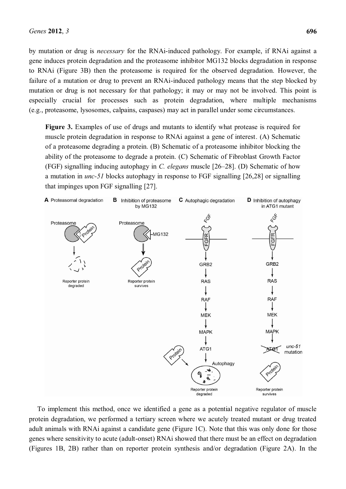by mutation or drug is *necessary* for the RNAi-induced pathology. For example, if RNAi against a gene induces protein degradation and the proteasome inhibitor MG132 blocks degradation in response to RNAi (Figure 3B) then the proteasome is required for the observed degradation. However, the failure of a mutation or drug to prevent an RNAi-induced pathology means that the step blocked by mutation or drug is not necessary for that pathology; it may or may not be involved. This point is especially crucial for processes such as protein degradation, where multiple mechanisms (e.g., proteasome, lysosomes, calpains, caspases) may act in parallel under some circumstances.

**Figure 3.** Examples of use of drugs and mutants to identify what protease is required for muscle protein degradation in response to RNAi against a gene of interest. (A) Schematic of a proteasome degrading a protein. (B) Schematic of a proteasome inhibitor blocking the ability of the proteasome to degrade a protein. (C) Schematic of Fibroblast Growth Factor (FGF) signalling inducing autophagy in *C. elegans* muscle [26–28]. (D) Schematic of how a mutation in *unc-51* blocks autophagy in response to FGF signalling [26,28] or signalling that impinges upon FGF signalling [27].



To implement this method, once we identified a gene as a potential negative regulator of muscle protein degradation, we performed a tertiary screen where we acutely treated mutant or drug treated adult animals with RNAi against a candidate gene (Figure 1C). Note that this was only done for those genes where sensitivity to acute (adult-onset) RNAi showed that there must be an effect on degradation (Figures 1B, 2B) rather than on reporter protein synthesis and/or degradation (Figure 2A). In the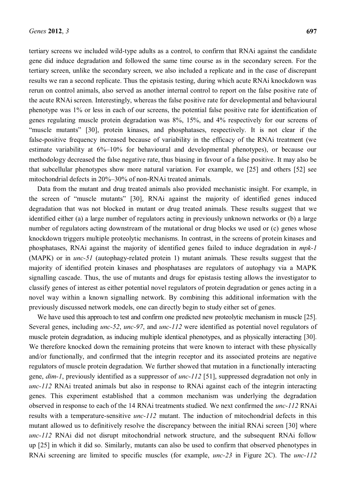tertiary screens we included wild-type adults as a control, to confirm that RNAi against the candidate gene did induce degradation and followed the same time course as in the secondary screen. For the tertiary screen, unlike the secondary screen, we also included a replicate and in the case of discrepant results we ran a second replicate. Thus the epistasis testing, during which acute RNAi knockdown was rerun on control animals, also served as another internal control to report on the false positive rate of the acute RNAi screen. Interestingly, whereas the false positive rate for developmental and behavioural phenotype was 1% or less in each of our screens, the potential false positive rate for identification of genes regulating muscle protein degradation was 8%, 15%, and 4% respectively for our screens of "muscle mutants" [30], protein kinases, and phosphatases, respectively. It is not clear if the false-positive frequency increased because of variability in the efficacy of the RNAi treatment (we estimate variability at  $6\%-10\%$  for behavioural and developmental phenotypes), or because our methodology decreased the false negative rate, thus biasing in favour of a false positive. It may also be that subcellular phenotypes show more natural variation. For example, we [25] and others [52] see mitochondrial defects in  $20\% - 30\%$  of non-RNAi treated animals.

Data from the mutant and drug treated animals also provided mechanistic insight. For example, in the screen of "muscle mutants" [30], RNAi against the majority of identified genes induced degradation that was not blocked in mutant or drug treated animals. These results suggest that we identified either (a) a large number of regulators acting in previously unknown networks or (b) a large number of regulators acting downstream of the mutational or drug blocks we used or (c) genes whose knockdown triggers multiple proteolytic mechanisms. In contrast, in the screens of protein kinases and phosphatases, RNAi against the majority of identified genes failed to induce degradation in *mpk-1* (MAPK) or in *unc-51* (autophagy-related protein 1) mutant animals. These results suggest that the majority of identified protein kinases and phosphatases are regulators of autophagy via a MAPK signalling cascade. Thus, the use of mutants and drugs for epistasis testing allows the investigator to classify genes of interest as either potential novel regulators of protein degradation or genes acting in a novel way within a known signalling network. By combining this additional information with the previously discussed network models, one can directly begin to study either set of genes.

We have used this approach to test and confirm one predicted new proteolytic mechanism in muscle [25]. Several genes, including *unc-52*, *unc-97*, and *unc-112* were identified as potential novel regulators of muscle protein degradation, as inducing multiple identical phenotypes, and as physically interacting [30]. We therefore knocked down the remaining proteins that were known to interact with these physically and/or functionally, and confirmed that the integrin receptor and its associated proteins are negative regulators of muscle protein degradation. We further showed that mutation in a functionally interacting gene, *dim-1*, previously identified as a suppressor of *unc-112* [51], suppressed degradation not only in *unc-112* RNAi treated animals but also in response to RNAi against each of the integrin interacting genes. This experiment established that a common mechanism was underlying the degradation observed in response to each of the 14 RNAi treatments studied. We next confirmed the *unc-112* RNAi results with a temperature-sensitive *unc-112* mutant. The induction of mitochondrial defects in this mutant allowed us to definitively resolve the discrepancy between the initial RNAi screen [30] where *unc-112* RNAi did not disrupt mitochondrial network structure, and the subsequent RNAi follow up [25] in which it did so. Similarly, mutants can also be used to confirm that observed phenotypes in RNAi screening are limited to specific muscles (for example, *unc-23* in Figure 2C). The *unc-112*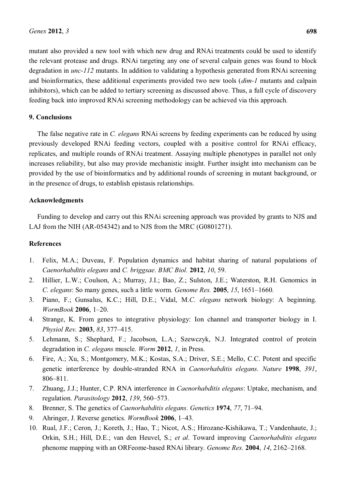mutant also provided a new tool with which new drug and RNAi treatments could be used to identify the relevant protease and drugs. RNAi targeting any one of several calpain genes was found to block degradation in *unc-112* mutants. In addition to validating a hypothesis generated from RNAi screening and bioinformatics, these additional experiments provided two new tools (*dim-1* mutants and calpain inhibitors), which can be added to tertiary screening as discussed above. Thus, a full cycle of discovery feeding back into improved RNAi screening methodology can be achieved via this approach.

# **9. Conclusions**

The false negative rate in *C. elegans* RNAi screens by feeding experiments can be reduced by using previously developed RNAi feeding vectors, coupled with a positive control for RNAi efficacy, replicates, and multiple rounds of RNAi treatment. Assaying multiple phenotypes in parallel not only increases reliability, but also may provide mechanistic insight. Further insight into mechanism can be provided by the use of bioinformatics and by additional rounds of screening in mutant background, or in the presence of drugs, to establish epistasis relationships.

# **Acknowledgments**

Funding to develop and carry out this RNAi screening approach was provided by grants to NJS and LAJ from the NIH (AR-054342) and to NJS from the MRC (G0801271).

## **References**

- 1. Felix, M.A.; Duveau, F. Population dynamics and habitat sharing of natural populations of *Caenorhabditis elegans* and *C. briggsae*. *BMC Biol.* **2012**, *10*, 59.
- 2. Hillier, L.W.; Coulson, A.; Murray, J.I.; Bao, Z.; Sulston, J.E.; Waterston, R.H. Genomics in *C. elegans:* So many genes, such a little worm. *Genome Res.* **2005**, *15*, 1651–1660.
- 3. Piano, F.; Gunsalus, K.C.; Hill, D.E.; Vidal, M.*C. elegans* network biology: A beginning. *WormBook* **2006**, 1-20.
- 4. Strange, K. From genes to integrative physiology: Ion channel and transporter biology in I. *Physiol Rev.* **2003**, 83, 377-415.
- 5. Lehmann, S.; Shephard, F.; Jacobson, L.A.; Szewczyk, N.J. Integrated control of protein degradation in *C. elegans* muscle. *Worm* **2012**, *1*, in Press.
- 6. Fire, A.; Xu, S.; Montgomery, M.K.; Kostas, S.A.; Driver, S.E.; Mello, C.C. Potent and specific genetic interference by double-stranded RNA in *Caenorhabditis elegans*. *Nature* **1998**, *391*, 806±811.
- 7. Zhuang, J.J.; Hunter, C.P. RNA interference in *Caenorhabditis elegans*: Uptake, mechanism, and regulation. *Parasitology* **2012**, *139*, 560–573.
- 8. Brenner, S. The genetics of *Caenorhabditis elegans*. *Genetics* 1974, 77, 71–94.
- 9. Ahringer, J. Reverse genetics. *WormBook* **2006**, 1–43.
- 10. Rual, J.F.; Ceron, J.; Koreth, J.; Hao, T.; Nicot, A.S.; Hirozane-Kishikawa, T.; Vandenhaute, J.; Orkin, S.H.; Hill, D.E.; van den Heuvel, S.; *et al*. Toward improving *Caenorhabditis elegans* phenome mapping with an ORFeome-based RNAi library. *Genome Res.* 2004, 14, 2162-2168.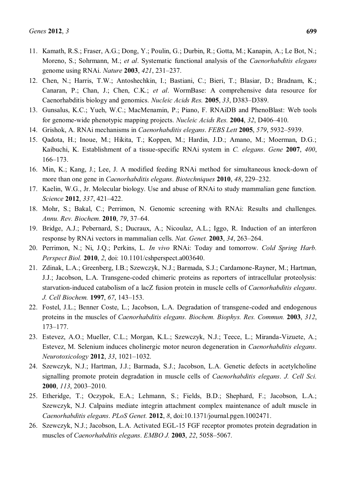- 11. Kamath, R.S.; Fraser, A.G.; Dong, Y.; Poulin, G.; Durbin, R.; Gotta, M.; Kanapin, A.; Le Bot, N.; Moreno, S.; Sohrmann, M.; *et al*. Systematic functional analysis of the *Caenorhabditis elegans*  genome using RNAi. *Nature* **2003**, 421, 231–237.
- 12. Chen, N.; Harris, T.W.; Antoshechkin, I.; Bastiani, C.; Bieri, T.; Blasiar, D.; Bradnam, K.; Canaran, P.; Chan, J.; Chen, C.K.; *et al*. WormBase: A comprehensive data resource for Caenorhabditis biology and genomics. *Nucleic Acids Res.* **2005**, 33, D383–D389.
- 13. Gunsalus, K.C.; Yueh, W.C.; MacMenamin, P.; Piano, F. RNAiDB and PhenoBlast: Web tools for genome-wide phenotypic mapping projects. *Nucleic Acids Res.* **2004**, 32, D406–410.
- 14. Grishok, A. RNAi mechanisms in *Caenorhabditis elegans*. *FEBS Lett* **2005**, 579, 5932–5939.
- 15. Qadota, H.; Inoue, M.; Hikita, T.; Koppen, M.; Hardin, J.D.; Amano, M.; Moerman, D.G.; Kaibuchi, K. Establishment of a tissue-specific RNAi system in *C. elegans*. *Gene* **2007**, *400*, 166±173.
- 16. Min, K.; Kang, J.; Lee, J. A modified feeding RNAi method for simultaneous knock-down of more than one gene in *Caenorhabditis elegans*. *Biotechniques* **2010**, 48, 229–232.
- 17. Kaelin, W.G., Jr. Molecular biology. Use and abuse of RNAi to study mammalian gene function. *Science* **2012**, 337, 421-422.
- 18. Mohr, S.; Bakal, C.; Perrimon, N. Genomic screening with RNAi: Results and challenges. *Annu. Rev. Biochem.* **2010**, 79, 37-64.
- 19. Bridge, A.J.; Pebernard, S.; Ducraux, A.; Nicoulaz, A.L.; Iggo, R. Induction of an interferon response by RNAi vectors in mammalian cells. *Nat. Genet.* **2003**, 34, 263–264.
- 20. Perrimon, N.; Ni, J.Q.; Perkins, L. *In vivo* RNAi: Today and tomorrow. *Cold Spring Harb. Perspect Biol.* **2010**, *2*, doi: 10.1101/cshperspect.a003640.
- 21. Zdinak, L.A.; Greenberg, I.B.; Szewczyk, N.J.; Barmada, S.J.; Cardamone-Rayner, M.; Hartman, J.J.; Jacobson, L.A. Transgene-coded chimeric proteins as reporters of intracellular proteolysis: starvation-induced catabolism of a lacZ fusion protein in muscle cells of *Caenorhabditis elegans*. *J. Cell Biochem.* **1997**, 67, 143-153.
- 22. Fostel, J.L.; Benner Coste, L.; Jacobson, L.A. Degradation of transgene-coded and endogenous proteins in the muscles of *Caenorhabditis elegans*. *Biochem. Biophys. Res. Commun.* **2003**, *312*, 173±177.
- 23. Estevez, A.O.; Mueller, C.L.; Morgan, K.L.; Szewczyk, N.J.; Teece, L.; Miranda-Vizuete, A.; Estevez, M. Selenium induces cholinergic motor neuron degeneration in *Caenorhabditis elegans*. *Neurotoxicology* **2012**, 33, 1021-1032.
- 24. Szewczyk, N.J.; Hartman, J.J.; Barmada, S.J.; Jacobson, L.A. Genetic defects in acetylcholine signalling promote protein degradation in muscle cells of *Caenorhabditis elegans*. *J. Cell Sci.*  **2000**, *113*, 2003-2010.
- 25. Etheridge, T.; Oczypok, E.A.; Lehmann, S.; Fields, B.D.; Shephard, F.; Jacobson, L.A.; Szewczyk, N.J. Calpains mediate integrin attachment complex maintenance of adult muscle in *Caenorhabditis elegans*. *PLoS Genet.* **2012**, *8*, doi:10.1371/journal.pgen.1002471.
- 26. Szewczyk, N.J.; Jacobson, L.A. Activated EGL-15 FGF receptor promotes protein degradation in muscles of *Caenorhabditis elegans*. *EMBO J.* 2003, 22, 5058-5067.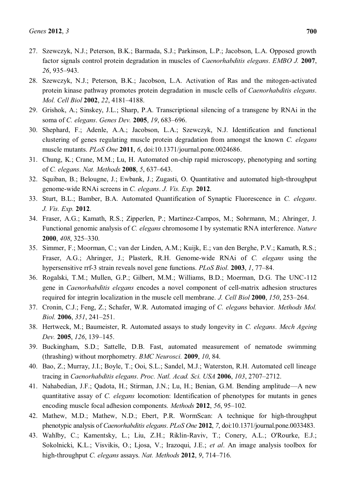- 27. Szewczyk, N.J.; Peterson, B.K.; Barmada, S.J.; Parkinson, L.P.; Jacobson, L.A. Opposed growth factor signals control protein degradation in muscles of *Caenorhabditis elegans*. *EMBO J.* **2007**, 26, 935–943.
- 28. Szewczyk, N.J.; Peterson, B.K.; Jacobson, L.A. Activation of Ras and the mitogen-activated protein kinase pathway promotes protein degradation in muscle cells of *Caenorhabditis elegans*. *Mol. Cell Biol* 2002, 22, 4181-4188.
- 29. Grishok, A.; Sinskey, J.L.; Sharp, P.A. Transcriptional silencing of a transgene by RNAi in the soma of *C. elegans*. *Genes Dev.* **2005**, 19, 683–696.
- 30. Shephard, F.; Adenle, A.A.; Jacobson, L.A.; Szewczyk, N.J. Identification and functional clustering of genes regulating muscle protein degradation from amongst the known *C. elegans* muscle mutants. *PLoS One* **2011**, *6*, doi:10.1371/journal.pone.0024686.
- 31. Chung, K.; Crane, M.M.; Lu, H. Automated on-chip rapid microscopy, phenotyping and sorting of *C. elegans*. *Nat. Methods* **2008**, *5*, 637±643.
- 32. Squiban, B.; Belougne, J.; Ewbank, J.; Zugasti, O. Quantitative and automated high-throughput genome-wide RNAi screens in *C. elegans*. *J. Vis. Exp.* **2012**.
- 33. Sturt, B.L.; Bamber, B.A. Automated Quantification of Synaptic Fluorescence in *C. elegans*. *J. Vis. Exp.* **2012**.
- 34. Fraser, A.G.; Kamath, R.S.; Zipperlen, P.; Martinez-Campos, M.; Sohrmann, M.; Ahringer, J. Functional genomic analysis of *C. elegans* chromosome I by systematic RNA interference. *Nature*  **2000**, *408*, 325–330.
- 35. Simmer, F.; Moorman, C.; van der Linden, A.M.; Kuijk, E.; van den Berghe, P.V.; Kamath, R.S.; Fraser, A.G.; Ahringer, J.; Plasterk, R.H. Genome-wide RNAi of *C. elegans* using the hypersensitive rrf-3 strain reveals novel gene functions. *PLoS Biol.* **2003**, *1*, 77–84.
- 36. Rogalski, T.M.; Mullen, G.P.; Gilbert, M.M.; Williams, B.D.; Moerman, D.G. The UNC-112 gene in *Caenorhabditis elegans* encodes a novel component of cell-matrix adhesion structures required for integrin localization in the muscle cell membrane. *J. Cell Biol* **2000**, *150*, 253–264.
- 37. Cronin, C.J.; Feng, Z.; Schafer, W.R. Automated imaging of *C. elegans* behavior. *Methods Mol. Biol.* **2006**, 351, 241-251.
- 38. Hertweck, M.; Baumeister, R. Automated assays to study longevity in *C. elegans*. *Mech Ageing Dev.* **2005**, *126*, 139-145.
- 39. Buckingham, S.D.; Sattelle, D.B. Fast, automated measurement of nematode swimming (thrashing) without morphometry. *BMC Neurosci.* **2009**, *10*, 84.
- 40. Bao, Z.; Murray, J.I.; Boyle, T.; Ooi, S.L.; Sandel, M.J.; Waterston, R.H. Automated cell lineage tracing in *Caenorhabditis elegans. Proc. Natl. Acad. Sci. USA* 2006, 103, 2707-2712.
- 41. Nahabedian, J.F.; Qadota, H.; Stirman, J.N.; Lu, H.; Benian, G.M. Bending amplitude—A new quantitative assay of *C. elegans* locomotion: Identification of phenotypes for mutants in genes encoding muscle focal adhesion components. *Methods* **2012**, 56, 95–102.
- 42. Mathew, M.D.; Mathew, N.D.; Ebert, P.R. WormScan: A technique for high-throughput phenotypic analysis of *Caenorhabditis elegans*. *PLoS One* **2012**, *7*, doi:10.1371/journal.pone.0033483.
- 43. Wahlby, C.; Kamentsky, L.; Liu, Z.H.; Riklin-Raviv, T.; Conery, A.L.; O'Rourke, E.J.; Sokolnicki, K.L.; Visvikis, O.; Ljosa, V.; Irazoqui, J.E.; *et al*. An image analysis toolbox for high-throughput *C. elegans* assays. *Nat. Methods* **2012**, 9, 714-716.